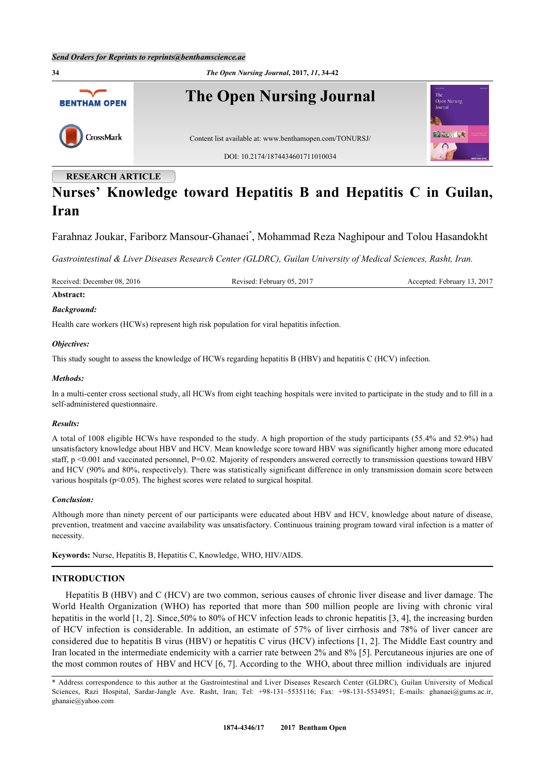

# **Nurses' Knowledge toward Hepatitis B and Hepatitis C in Guilan, Iran**

Farahnaz Joukar, Fariborz Mansour-Ghanaei[\\*](#page-0-0) , Mohammad Reza Naghipour and Tolou Hasandokht

*Gastrointestinal & Liver Diseases Research Center (GLDRC), Guilan University of Medical Sciences, Rasht, Iran.*

Received: December 08, 2016 Revised: February 05, 2017 Accepted: February 13, 2017

# **Abstract:**

### *Background:*

Health care workers (HCWs) represent high risk population for viral hepatitis infection.

### *Objectives:*

This study sought to assess the knowledge of HCWs regarding hepatitis B (HBV) and hepatitis C (HCV) infection.

### *Methods:*

In a multi-center cross sectional study, all HCWs from eight teaching hospitals were invited to participate in the study and to fill in a self-administered questionnaire.

## *Results:*

A total of 1008 eligible HCWs have responded to the study. A high proportion of the study participants (55.4% and 52.9%) had unsatisfactory knowledge about HBV and HCV. Mean knowledge score toward HBV was significantly higher among more educated staff, p <0.001 and vaccinated personnel, P=0.02. Majority of responders answered correctly to transmission questions toward HBV and HCV (90% and 80%, respectively). There was statistically significant difference in only transmission domain score between various hospitals (p<0.05). The highest scores were related to surgical hospital.

#### *Conclusion:*

Although more than ninety percent of our participants were educated about HBV and HCV, knowledge about nature of disease, prevention, treatment and vaccine availability was unsatisfactory. Continuous training program toward viral infection is a matter of necessity.

**Keywords:** Nurse, Hepatitis B, Hepatitis C, Knowledge, WHO, HIV/AIDS.

# **INTRODUCTION**

Hepatitis B (HBV) and C (HCV) are two common, serious causes of chronic liver disease and liver damage. The World Health Organization (WHO) has reported that more than 500 million people are living with chronic viral hepatitis in the world [[1](#page-6-0), [2](#page-6-1)]. Since, 50% to 80% of HCV infection leads to chronic hepatitis [\[3](#page-6-2), [4](#page-6-3)], the increasing burden of HCV infection is considerable. In addition, an estimate of 57% of liver cirrhosis and 78% of liver cancer are considered due to hepatitis B virus (HBV) or hepatitis C virus (HCV) infections [[1,](#page-6-0) [2](#page-6-1)]. The Middle East country and Iran located in the intermediate endemicity with a carrier rate between 2% and 8% [[5\]](#page-6-4). Percutaneous injuries are one of the most common routes of HBV and HCV [[6,](#page-6-5) [7\]](#page-6-6). According to the WHO, about three million individuals are injured

<span id="page-0-0"></span><sup>\*</sup> Address correspondence to this author at the Gastrointestinal and Liver Diseases Research Center (GLDRC), Guilan University of Medical Sciences, Razi Hospital, Sardar-Jangle Ave. Rasht, Iran; Tel: +98-131–5535116; Fax: +98-131-5534951; E-mails: [ghanaei@gums.ac.ir,](mailto:ghanaei@gums.ac.ir) [ghanaie@yahoo.com](mailto:ghanaie@yahoo.com)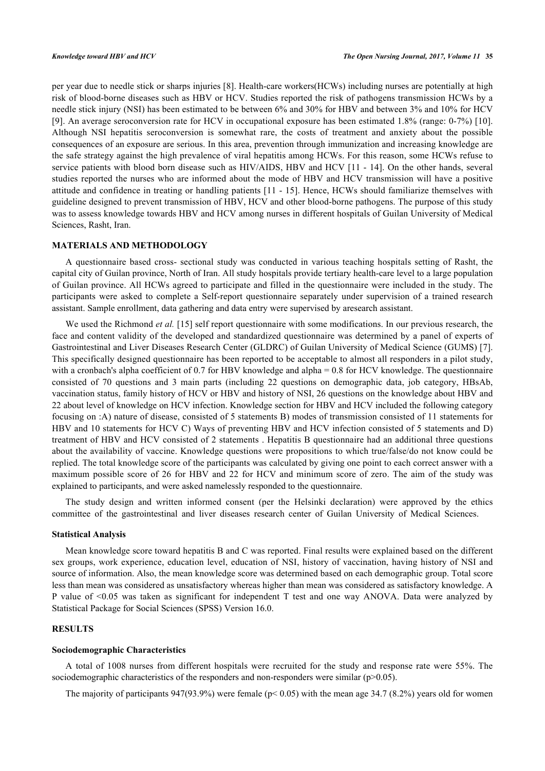per year due to needle stick or sharps injuries [\[8](#page-6-7)]. Health-care workers(HCWs) including nurses are potentially at high risk of blood-borne diseases such as HBV or HCV. Studies reported the risk of pathogens transmission HCWs by a needle stick injury (NSI) has been estimated to be between 6% and 30% for HBV and between 3% and 10% for HCV [\[9](#page-6-8)]. An average seroconversion rate for HCV in occupational exposure has been estimated 1.8% (range: 0-7%) [\[10\]](#page-6-9). Although NSI hepatitis seroconversion is somewhat rare, the costs of treatment and anxiety about the possible consequences of an exposure are serious. In this area, prevention through immunization and increasing knowledge are the safe strategy against the high prevalence of viral hepatitis among HCWs. For this reason, some HCWs refuse to service patients with blood born disease such as HIV/AIDS, HBV and HCV [[11](#page-6-10) - [14](#page-7-0)]. On the other hands, several studies reported the nurses who are informed about the mode of HBV and HCV transmission will have a positive attitude and confidence in treating or handling patients [[11](#page-6-10) - [15\]](#page-7-1). Hence, HCWs should familiarize themselves with guideline designed to prevent transmission of HBV, HCV and other blood-borne pathogens. The purpose of this study was to assess knowledge towards HBV and HCV among nurses in different hospitals of Guilan University of Medical Sciences, Rasht, Iran.

# **MATERIALS AND METHODOLOGY**

A questionnaire based cross- sectional study was conducted in various teaching hospitals setting of Rasht, the capital city of Guilan province, North of Iran. All study hospitals provide tertiary health-care level to a large population of Guilan province. All HCWs agreed to participate and filled in the questionnaire were included in the study. The participants were asked to complete a Self-report questionnaire separately under supervision of a trained research assistant. Sample enrollment, data gathering and data entry were supervised by aresearch assistant.

We used the Richmond *et al.* [[15](#page-7-1)] self report questionnaire with some modifications. In our previous research, the face and content validity of the developed and standardized questionnaire was determined by a panel of experts of Gastrointestinal and Liver Diseases Research Center (GLDRC) of Guilan University of Medical Science (GUMS) [[7\]](#page-6-6). This specifically designed questionnaire has been reported to be acceptable to almost all responders in a pilot study, with a cronbach's alpha coefficient of 0.7 for HBV knowledge and alpha = 0.8 for HCV knowledge. The questionnaire consisted of 70 questions and 3 main parts (including 22 questions on demographic data, job category, HBsAb, vaccination status, family history of HCV or HBV and history of NSI, 26 questions on the knowledge about HBV and 22 about level of knowledge on HCV infection. Knowledge section for HBV and HCV included the following category focusing on :A) nature of disease, consisted of 5 statements B) modes of transmission consisted of 11 statements for HBV and 10 statements for HCV C) Ways of preventing HBV and HCV infection consisted of 5 statements and D) treatment of HBV and HCV consisted of 2 statements . Hepatitis B questionnaire had an additional three questions about the availability of vaccine. Knowledge questions were propositions to which true/false/do not know could be replied. The total knowledge score of the participants was calculated by giving one point to each correct answer with a maximum possible score of 26 for HBV and 22 for HCV and minimum score of zero. The aim of the study was explained to participants, and were asked namelessly responded to the questionnaire.

The study design and written informed consent (per the Helsinki declaration) were approved by the ethics committee of the gastrointestinal and liver diseases research center of Guilan University of Medical Sciences.

## **Statistical Analysis**

Mean knowledge score toward hepatitis B and C was reported. Final results were explained based on the different sex groups, work experience, education level, education of NSI, history of vaccination, having history of NSI and source of information. Also, the mean knowledge score was determined based on each demographic group. Total score less than mean was considered as unsatisfactory whereas higher than mean was considered as satisfactory knowledge. A P value of <0.05 was taken as significant for independent T test and one way ANOVA. Data were analyzed by Statistical Package for Social Sciences (SPSS) Version 16.0.

# **RESULTS**

#### **Sociodemographic Characteristics**

A total of 1008 nurses from different hospitals were recruited for the study and response rate were 55%. The sociodemographic characteristics of the responders and non-responders were similar ( $p$ >0.05).

The majority of participants 947(93.9%) were female ( $p< 0.05$ ) with the mean age 34.7 (8.2%) years old for women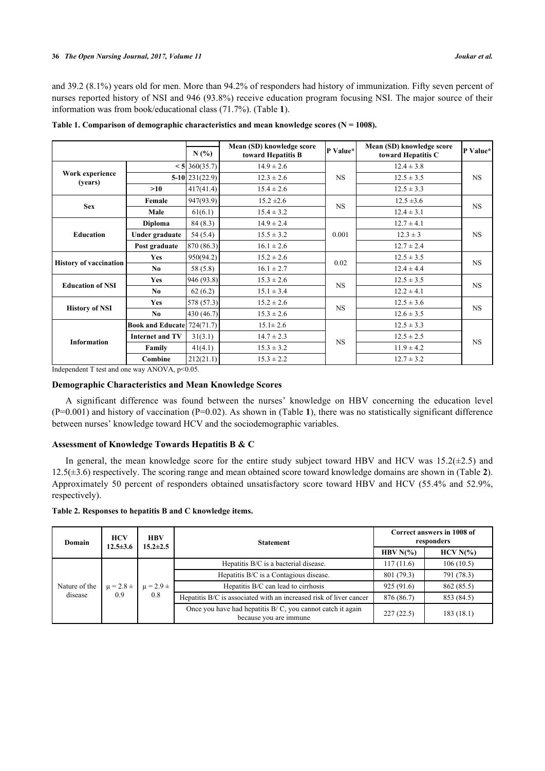and 39.2 (8.1%) years old for men. More than 94.2% of responders had history of immunization. Fifty seven percent of nurses reported history of NSI and 946 (93.8%) receive education program focusing NSI. The major source of their information was from book/educational class (71.7%). (Table **[1](#page-2-0)**).

|                               |                                   | N(%                     | Mean (SD) knowledge score<br>toward Hepatitis B | P Value*  | Mean (SD) knowledge score<br>toward Hepatitis C | P Value*  |  |
|-------------------------------|-----------------------------------|-------------------------|-------------------------------------------------|-----------|-------------------------------------------------|-----------|--|
|                               |                                   | $< 5 \,   \, 360(35.7)$ | $14.9 \pm 2.6$                                  |           | $12.4 \pm 3.8$                                  |           |  |
| Work experience<br>(years)    |                                   | $5-10$   231(22.9)      | $12.3 \pm 2.6$                                  | <b>NS</b> | $12.5 \pm 3.5$                                  | <b>NS</b> |  |
|                               | >10                               | 417(41.4)               | $15.4 \pm 2.6$                                  |           | $12.5 \pm 3.3$                                  |           |  |
| <b>Sex</b>                    | Female                            | 947(93.9)               | $15.2 \pm 2.6$                                  | <b>NS</b> | $12.5 \pm 3.6$                                  | <b>NS</b> |  |
|                               | Male                              | 61(6.1)                 | $15.4 \pm 3.2$                                  |           | $12.4 \pm 3.1$                                  |           |  |
|                               | <b>Diploma</b>                    | 84(8.3)                 | $14.9 \pm 2.4$                                  |           | $12.7 \pm 4.1$                                  | <b>NS</b> |  |
| <b>Education</b>              | Under graduate                    | 54(5.4)                 | $15.5 \pm 3.2$                                  | 0.001     | $12.3 \pm 3$                                    |           |  |
|                               | Post graduate                     | 870 (86.3)              | $16.1 \pm 2.6$                                  |           | $12.7 \pm 2.4$                                  |           |  |
|                               | <b>Yes</b>                        | 950(94.2)               | $15.2 \pm 2.6$                                  | 0.02      | $12.5 \pm 3.5$                                  | <b>NS</b> |  |
| <b>History of vaccination</b> | No                                | 58 (5.8)                | $16.1 \pm 2.7$                                  |           | $12.4 \pm 4.4$                                  |           |  |
| <b>Education of NSI</b>       | <b>Yes</b>                        | 946 (93.8)              | $15.3 \pm 2.6$                                  | <b>NS</b> | $12.5 \pm 3.5$                                  | <b>NS</b> |  |
|                               | No                                | 62(6.2)                 | $15.1 \pm 3.4$                                  |           | $12.2 \pm 4.1$                                  |           |  |
| <b>History of NSI</b>         | <b>Yes</b>                        | 578 (57.3)              | $15.2 \pm 2.6$                                  | <b>NS</b> | $12.5 \pm 3.6$                                  |           |  |
|                               | No                                | 430 (46.7)              | $15.3 \pm 2.6$                                  |           | $12.6 \pm 3.5$                                  | <b>NS</b> |  |
|                               | <b>Book and Educate</b> 724(71.7) |                         | $15.1 \pm 2.6$                                  |           | $12.5 \pm 3.3$                                  |           |  |
| <b>Information</b>            | <b>Internet and TV</b>            | 31(3.1)                 | $14.7 \pm 2.3$                                  | <b>NS</b> | $12.5 \pm 2.5$                                  |           |  |
|                               | Family                            | 41(4.1)                 | $15.3 \pm 3.2$                                  |           | $11.9 \pm 4.2$                                  | <b>NS</b> |  |
|                               | Combine                           | 212(21.1)               | $15.3 \pm 2.2$                                  |           | $12.7 \pm 3.2$                                  |           |  |

<span id="page-2-0"></span>Table 1. Comparison of demographic characteristics and mean knowledge scores (N = 1008).

Independent T test and one way ANOVA, p<0.05.

# **Demographic Characteristics and Mean Knowledge Scores**

A significant difference was found between the nurses' knowledge on HBV concerning the education level (P=0.001) and history of vaccination (P=0.02). As shown in (Table **[1](#page-2-0)**), there was no statistically significant difference between nurses' knowledge toward HCV and the sociodemographic variables.

# **Assessment of Knowledge Towards Hepatitis B & C**

In general, the mean knowledge score for the entire study subject toward HBV and HCV was  $15.2(\pm 2.5)$  and 12.5(±3.6) respectively. The scoring range and mean obtained score toward knowledge domains are shown in (Table **[2](#page-2-1)**). Approximately 50 percent of responders obtained unsatisfactory score toward HBV and HCV (55.4% and 52.9%, respectively).

# <span id="page-2-1"></span>**Table 2. Responses to hepatitis B and C knowledge items.**

| Domain                   | <b>HCV</b><br>$12.5 \pm 3.6$ | <b>HBV</b><br>$15.2 \pm 2.5$ | <b>Statement</b>                                                                        | Correct answers in 1008 of<br>responders |              |  |  |
|--------------------------|------------------------------|------------------------------|-----------------------------------------------------------------------------------------|------------------------------------------|--------------|--|--|
|                          |                              |                              |                                                                                         | HBV $N(\%)$                              | $HCV N(\% )$ |  |  |
| Nature of the<br>disease |                              |                              | Hepatitis B/C is a bacterial disease.                                                   | 117(11.6)                                | 106(10.5)    |  |  |
|                          |                              |                              | Hepatitis B/C is a Contagious disease.                                                  | 801 (79.3)                               | 791 (78.3)   |  |  |
|                          | $\mu = 2.8 \pm$              | $\mu = 2.9 \pm$              | Hepatitis B/C can lead to cirrhosis                                                     | 925(91.6)                                | 862 (85.5)   |  |  |
|                          | 0.9                          | 0.8                          | Hepatitis B/C is associated with an increased risk of liver cancer                      |                                          | 853 (84.5)   |  |  |
|                          |                              |                              | Once you have had hepatitis $B/C$ , you cannot catch it again<br>because you are immune | 227(22.5)                                | 183(18.1)    |  |  |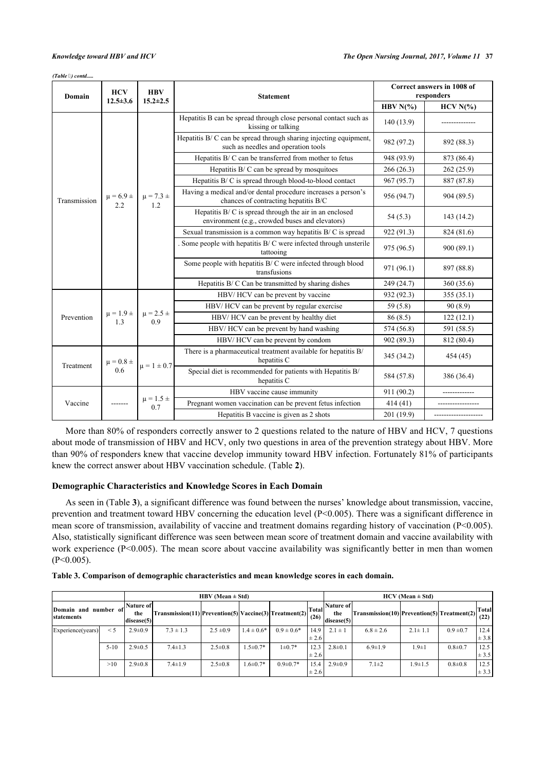*(Table ) contd.....*

| Domain       | <b>HCV</b>             | <b>HBV</b>                        | <b>Statement</b>                                                                                                                                                                | Correct answers in 1008 of<br>responders |              |  |
|--------------|------------------------|-----------------------------------|---------------------------------------------------------------------------------------------------------------------------------------------------------------------------------|------------------------------------------|--------------|--|
|              | $12.5 \pm 3.6$         | $15.2 \pm 2.5$                    |                                                                                                                                                                                 | HBV $N(\%)$                              | $HCV N(\% )$ |  |
|              |                        |                                   | Hepatitis B can be spread through close personal contact such as<br>kissing or talking                                                                                          | 140 (13.9)                               |              |  |
|              |                        |                                   | Hepatitis B/C can be spread through sharing injecting equipment,<br>such as needles and operation tools                                                                         | 982 (97.2)                               | 892 (88.3)   |  |
|              |                        |                                   | Hepatitis B/C can be transferred from mother to fetus                                                                                                                           | 948 (93.9)                               | 873 (86.4)   |  |
|              |                        |                                   | Hepatitis B/C can be spread by mosquitoes                                                                                                                                       | 266(26.3)                                | 262(25.9)    |  |
|              |                        |                                   | Hepatitis B/C is spread through blood-to-blood contact                                                                                                                          | 967 (95.7)                               | 887 (87.8)   |  |
| Transmission | $\mu = 6.9 \pm$<br>2.2 | $\mu = 7.3 \pm$<br>1.2            | Having a medical and/or dental procedure increases a person's<br>chances of contracting hepatitis B/C                                                                           | 956 (94.7)                               | 904 (89.5)   |  |
|              |                        |                                   | Hepatitis $B/C$ is spread through the air in an enclosed<br>environment (e.g., crowded buses and elevators)                                                                     | 54(5.3)                                  | 143(14.2)    |  |
|              |                        |                                   | Sexual transmission is a common way hepatitis B/C is spread                                                                                                                     | 922 (91.3)                               | 824 (81.6)   |  |
|              |                        |                                   | Some people with hepatitis B/C were infected through unsterile<br>tattooing                                                                                                     | 975 (96.5)                               | 900(89.1)    |  |
|              |                        |                                   | Some people with hepatitis B/C were infected through blood<br>transfusions                                                                                                      | 971 (96.1)                               | 897 (88.8)   |  |
|              |                        |                                   | Hepatitis B/C Can be transmitted by sharing dishes                                                                                                                              | 249 (24.7)                               | 360(35.6)    |  |
|              |                        | HBV/HCV can be prevent by vaccine |                                                                                                                                                                                 | 932 (92.3)                               | 355(35.1)    |  |
|              |                        | $\mu = 2.5 \pm$<br>0.9            | HBV/HCV can be prevent by regular exercise                                                                                                                                      | 59(5.8)                                  | 90(8.9)      |  |
| Prevention   | $\mu = 1.9 \pm$<br>1.3 |                                   | HBV/HCV can be prevent by healthy diet                                                                                                                                          | 86(8.5)                                  | 122(12.1)    |  |
|              |                        |                                   | HBV/HCV can be prevent by hand washing                                                                                                                                          |                                          | 591 (58.5)   |  |
|              |                        |                                   | HBV/HCV can be prevent by condom                                                                                                                                                | 902 (89.3)                               | 812 (80.4)   |  |
|              | $\mu = 0.8 \pm$<br>0.6 |                                   | There is a pharmaceutical treatment available for hepatitis B/<br>hepatitis C<br>$\mu = 1 \pm 0.7$<br>Special diet is recommended for patients with Hepatitis B/<br>hepatitis C |                                          | 454 (45)     |  |
| Treatment    |                        |                                   |                                                                                                                                                                                 |                                          | 386 (36.4)   |  |
|              |                        |                                   | HBV vaccine cause immunity                                                                                                                                                      | 911 (90.2)                               |              |  |
| Vaccine      |                        | $\mu = 1.5 \pm$<br>0.7            | Pregnant women vaccination can be prevent fetus infection                                                                                                                       | 414 (41)                                 |              |  |
|              |                        |                                   | Hepatitis B vaccine is given as 2 shots                                                                                                                                         | 201 (19.9)                               |              |  |

More than 80% of responders correctly answer to 2 questions related to the nature of HBV and HCV, 7 questions about mode of transmission of HBV and HCV, only two questions in area of the prevention strategy about HBV. More than 90% of responders knew that vaccine develop immunity toward HBV infection. Fortunately 81% of participants knew the correct answer about HBV vaccination schedule. (Table **[2](#page-2-1)**).

# **Demographic Characteristics and Knowledge Scores in Each Domain**

As seen in (Table **[3](#page-3-0)**), a significant difference was found between the nurses' knowledge about transmission, vaccine, prevention and treatment toward HBV concerning the education level (P<0.005). There was a significant difference in mean score of transmission, availability of vaccine and treatment domains regarding history of vaccination (P<0.005). Also, statistically significant difference was seen between mean score of treatment domain and vaccine availability with work experience (P<0.005). The mean score about vaccine availability was significantly better in men than women  $(P<0.005)$ .

<span id="page-3-0"></span>

| Table 3. Comparison of demographic characteristics and mean knowledge scores in each domain. |  |
|----------------------------------------------------------------------------------------------|--|
|                                                                                              |  |

|                                    |          |                                        |                                                                                                      | $HBV$ (Mean $\pm$ Std) | $HCV$ (Mean $\pm$ Std) |                 |                   |                                |                                             |               |               |                      |
|------------------------------------|----------|----------------------------------------|------------------------------------------------------------------------------------------------------|------------------------|------------------------|-----------------|-------------------|--------------------------------|---------------------------------------------|---------------|---------------|----------------------|
| Domain and number of<br>statements |          | <b>Nature of </b><br>the<br>discase(5) | 'Transmission(11) Prevention(5) Vaccine(3) Treatment(2) $\left \frac{\text{Total}}{\text{A}}\right $ |                        |                        |                 |                   | Nature of<br>the<br>discase(5) | Transmission(10) Prevention(5) Treatment(2) |               |               | <b>Total</b><br>(22) |
| Experience (years)                 | $\leq$ 5 | $2.9 \pm 0.9$                          | $7.3 \pm 1.3$                                                                                        | $2.5 \pm 0.9$          | $1.4 \pm 0.6*$         | $0.9 \pm 0.6^*$ | 14.9<br>± 2.6     | $2.1 \pm 1$                    | $6.8 \pm 2.6$                               | $2.1 \pm 1.1$ | $0.9 \pm 0.7$ | 12.4<br>$\pm$ 3.8    |
|                                    | $5-10$   | $2.9 \pm 0.5$                          | $7.4 \pm 1.3$                                                                                        | $2.5 \pm 0.8$          | $1.5 \pm 0.7*$         | $1\pm 0.7*$     | 12.3<br>$\pm 2.6$ | $2.8 \pm 0.1$                  | $6.9 \pm 1.9$                               | $1.9 \pm 1$   | $0.8 + 0.7$   | 12.5<br>± 3.5        |
|                                    | >10      | $2.9 \pm 0.8$                          | $7.4 \pm 1.9$                                                                                        | $2.5 \pm 0.8$          | $1.6 \pm 0.7*$         | $0.9 \pm 0.7*$  | 15.4<br>$\pm 2.6$ | $2.9 \pm 0.9$                  | $7.1 \pm 2$                                 | $1.9 \pm 1.5$ | $0.8 + 0.8$   | 12.5<br>$\pm$ 3.3    |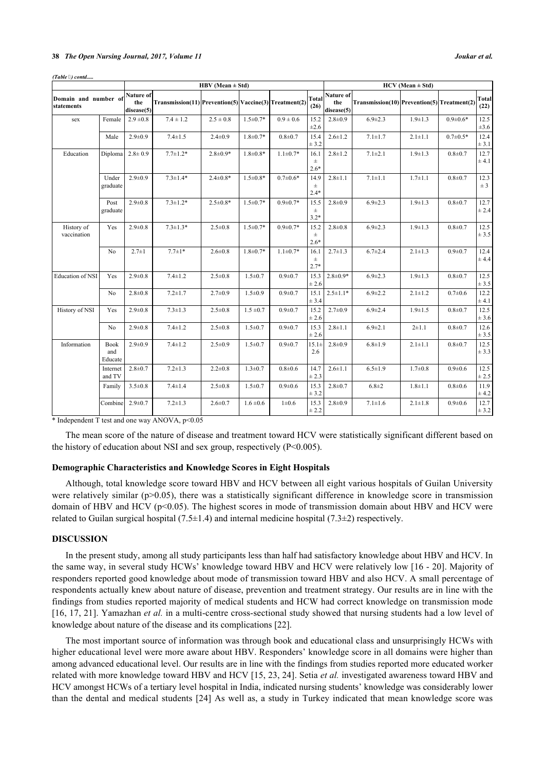#### **38** *The Open Nursing Journal, 2017, Volume 11 Joukar et al.*

|                                    |                        | HBV (Mean $\pm$ Std)                  |                                                          |                |                |                |                         |                                | $HCV$ (Mean $\pm$ Std)                      |               |                |                      |  |
|------------------------------------|------------------------|---------------------------------------|----------------------------------------------------------|----------------|----------------|----------------|-------------------------|--------------------------------|---------------------------------------------|---------------|----------------|----------------------|--|
| Domain and number of<br>statements |                        | <b>Nature of</b><br>the<br>disease(5) | $Transmission(11)$ Prevention(5) Vaccine(3) Treatment(2) |                |                |                | <b>Total</b><br>(26)    | Nature of<br>the<br>disease(5) | Transmission(10) Prevention(5) Treatment(2) |               |                | <b>Total</b><br>(22) |  |
| sex                                | Female                 | $2.9 \pm 0.8$                         | $7.4 \pm 1.2$                                            | $2.5 \pm 0.8$  | $1.5 \pm 0.7*$ | $0.9 \pm 0.6$  | 15.2<br>$\pm 2.6$       | $2.8 \pm 0.9$                  | $6.9 \pm 2.3$                               | $1.9 \pm 1.3$ | $0.9 \pm 0.6*$ | 12.5<br>$\pm 3.6$    |  |
|                                    | Male                   | $2.9 \pm 0.9$                         | $7.4 \pm 1.5$                                            | $2.4 \pm 0.9$  | $1.8 \pm 0.7*$ | $0.8 + 0.7$    | 15.4<br>± 3.2           | $2.6 \pm 1.2$                  | $7.1 \pm 1.7$                               | $2.1 \pm 1.1$ | $0.7 \pm 0.5*$ | 12.4<br>$\pm$ 3.1    |  |
| Education                          | Diploma                | $2.8 \pm 0.9$                         | $7.7 \pm 1.2*$                                           | $2.8 \pm 0.9*$ | $1.8 \pm 0.8*$ | $1.1 \pm 0.7*$ | 16.1<br>$\pm$<br>$2.6*$ | $2.8 + 1.2$                    | $7.1 \pm 2.1$                               | $1.9 \pm 1.3$ | $0.8 + 0.7$    | 12.7<br>± 4.1        |  |
|                                    | Under<br>graduate      | $2.9 \pm 0.9$                         | $7.3 \pm 1.4*$                                           | $2.4 \pm 0.8*$ | $1.5 \pm 0.8*$ | $0.7 \pm 0.6*$ | 14.9<br>$\pm$<br>$2.4*$ | $2.8 + 1.1$                    | $7.1 \pm 1.1$                               | $1.7 + 1.1$   | $0.8 + 0.7$    | 12.3<br>± 3          |  |
|                                    | Post<br>graduate       | $2.9 \pm 0.8$                         | $7.3 \pm 1.2*$                                           | $2.5 \pm 0.8*$ | $1.5 \pm 0.7*$ | $0.9 \pm 0.7*$ | 15.5<br>$\pm$<br>$3.2*$ | $2.8 + 0.9$                    | $6.9 \pm 2.3$                               | $1.9 \pm 1.3$ | $0.8 + 0.7$    | 12.7<br>± 2.4        |  |
| History of<br>vaccination          | Yes                    | $2.9 \pm 0.8$                         | $7.3 \pm 1.3*$                                           | $2.5 \pm 0.8$  | $1.5 \pm 0.7*$ | $0.9 \pm 0.7*$ | 15.2<br>$\pm$<br>$2.6*$ | $2.8 \pm 0.8$                  | $6.9 \pm 2.3$                               | $1.9 \pm 1.3$ | $0.8 + 0.7$    | 12.5<br>± 3.5        |  |
|                                    | No                     | $2.7 \pm 1$                           | $7.7 \pm 1*$                                             | $2.6 \pm 0.8$  | $1.8 \pm 0.7*$ | $1.1 \pm 0.7*$ | 16.1<br>$\pm$<br>$2.7*$ | $2.7 \pm 1.3$                  | $6.7 \pm 2.4$                               | $2.1 \pm 1.3$ | $0.9 + 0.7$    | 12.4<br>± 4.4        |  |
| Education of NSI                   | Yes                    | $2.9 \pm 0.8$                         | $7.4 \pm 1.2$                                            | $2.5 \pm 0.8$  | $1.5 \pm 0.7$  | $0.9 + 0.7$    | 15.3<br>± 2.6           | $2.8 \pm 0.9*$                 | $6.9 \pm 2.3$                               | $1.9 \pm 1.3$ | $0.8 + 0.7$    | 12.5<br>± 3.5        |  |
|                                    | No                     | $2.8 \pm 0.8$                         | $7.2 \pm 1.7$                                            | $2.7 \pm 0.9$  | $1.5 \pm 0.9$  | $0.9 + 0.7$    | 15.1<br>± 3.4           | $2.5 \pm 1.1*$                 | $6.9 \pm 2.2$                               | $2.1 \pm 1.2$ | $0.7 \pm 0.6$  | 12.2<br>± 4.1        |  |
| History of NSI                     | Yes                    | $2.9 \pm 0.8$                         | $7.3 \pm 1.3$                                            | $2.5 \pm 0.8$  | $1.5 \pm 0.7$  | $0.9 + 0.7$    | 15.2<br>± 2.6           | $2.7 \pm 0.9$                  | $6.9 \pm 2.4$                               | $1.9 \pm 1.5$ | $0.8 + 0.7$    | 12.5<br>± 3.6        |  |
|                                    | N <sub>0</sub>         | $2.9 \pm 0.8$                         | $7.4 \pm 1.2$                                            | $2.5 \pm 0.8$  | $1.5 \pm 0.7$  | $0.9 + 0.7$    | 15.3<br>± 2.6           | $2.8 + 1.1$                    | $6.9 \pm 2.1$                               | $2 + 1.1$     | $0.8 + 0.7$    | 12.6<br>± 3.5        |  |
| Information                        | Book<br>and<br>Educate | $2.9 \pm 0.9$                         | $7.4 \pm 1.2$                                            | $2.5 \pm 0.9$  | $1.5 \pm 0.7$  | $0.9 + 0.7$    | $15.1\pm$<br>2.6        | $2.8 \pm 0.9$                  | $6.8 \pm 1.9$                               | $2.1 \pm 1.1$ | $0.8 + 0.7$    | 12.5<br>± 3.3        |  |
|                                    | Internet<br>and TV     | $2.8 + 0.7$                           | $7.2 \pm 1.3$                                            | $2.2 \pm 0.8$  | $1.3 \pm 0.7$  | $0.8 + 0.6$    | 14.7<br>± 2.3           | $2.6 \pm 1.1$                  | $6.5 \pm 1.9$                               | $1.7 \pm 0.8$ | $0.9 + 0.6$    | 12.5<br>± 2.5        |  |
|                                    | Family                 | $3.5 \pm 0.8$                         | $7.4 \pm 1.4$                                            | $2.5 \pm 0.8$  | $1.5 \pm 0.7$  | $0.9 + 0.6$    | 15.3<br>± 3.2           | $2.8 \pm 0.7$                  | $6.8 + 2$                                   | $1.8 \pm 1.1$ | $0.8 + 0.6$    | 11.9<br>± 4.2        |  |
|                                    | Combine                | $2.9 \pm 0.7$                         | $7.2 \pm 1.3$                                            | $2.6 \pm 0.7$  | $1.6 \pm 0.6$  | $1 \pm 0.6$    | 15.3<br>± 2.2           | $2.8 \pm 0.9$                  | $7.1 \pm 1.6$                               | $2.1 \pm 1.8$ | $0.9 + 0.6$    | 12.7<br>± 3.2        |  |

*(Table ) contd.....*

\* Independent T test and one way ANOVA, p<0.05

The mean score of the nature of disease and treatment toward HCV were statistically significant different based on the history of education about NSI and sex group, respectively (P<0.005).

### **Demographic Characteristics and Knowledge Scores in Eight Hospitals**

Although, total knowledge score toward HBV and HCV between all eight various hospitals of Guilan University were relatively similar ( $p$  $>$ 0.05), there was a statistically significant difference in knowledge score in transmission domain of HBV and HCV (p<0.05). The highest scores in mode of transmission domain about HBV and HCV were related to Guilan surgical hospital (7.5 $\pm$ 1.4) and internal medicine hospital (7.3 $\pm$ 2) respectively.

## **DISCUSSION**

In the present study, among all study participants less than half had satisfactory knowledge about HBV and HCV. In the same way, in several study HCWs' knowledge toward HBV and HCV were relatively low [[16](#page-7-2) - [20](#page-7-3)]. Majority of responders reported good knowledge about mode of transmission toward HBV and also HCV. A small percentage of respondents actually knew about nature of disease, prevention and treatment strategy. Our results are in line with the findings from studies reported majority of medical students and HCW had correct knowledge on transmission mode [\[16](#page-7-2), [17](#page-7-4), [21\]](#page-7-5). Yamazhan *et al.* in a multi-centre cross-sectional study showed that nursing students had a low level of knowledge about nature of the disease and its complications [\[22](#page-7-6)].

The most important source of information was through book and educational class and unsurprisingly HCWs with higher educational level were more aware about HBV. Responders' knowledge score in all domains were higher than among advanced educational level. Our results are in line with the findings from studies reported more educated worker related with more knowledge toward HBV and HCV [[15,](#page-7-1) [23](#page-7-7), [24](#page-7-8)]. Setia *et al.* investigated awareness toward HBV and HCV amongst HCWs of a tertiary level hospital in India, indicated nursing students' knowledge was considerably lower than the dental and medical students [\[24\]](#page-7-8) As well as, a study in Turkey indicated that mean knowledge score was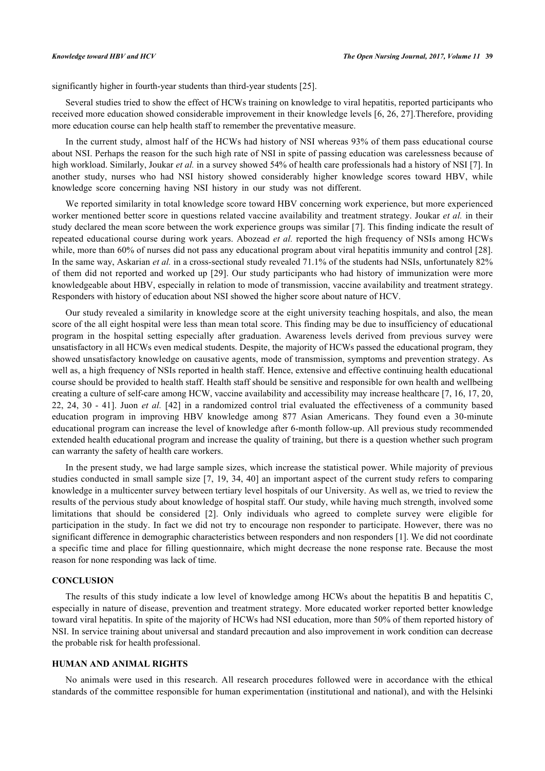significantly higher in fourth-year students than third-year students [[25\]](#page-7-9).

Several studies tried to show the effect of HCWs training on knowledge to viral hepatitis, reported participants who received more education showed considerable improvement in their knowledge levels [\[6](#page-6-5), [26,](#page-7-10) [27](#page-7-11)].Therefore, providing more education course can help health staff to remember the preventative measure.

In the current study, almost half of the HCWs had history of NSI whereas 93% of them pass educational course about NSI. Perhaps the reason for the such high rate of NSI in spite of passing education was carelessness because of high workload. Similarly, Joukar *et al.* in a survey showed 54% of health care professionals had a history of NSI [[7\]](#page-6-6). In another study, nurses who had NSI history showed considerably higher knowledge scores toward HBV, while knowledge score concerning having NSI history in our study was not different.

We reported similarity in total knowledge score toward HBV concerning work experience, but more experienced worker mentioned better score in questions related vaccine availability and treatment strategy. Joukar *et al.* in their study declared the mean score between the work experience groups was similar [[7](#page-6-6)]. This finding indicate the result of repeated educational course during work years. Abozead *et al.* reported the high frequency of NSIs among HCWs while, more than 60% of nurses did not pass any educational program about viral hepatitis immunity and control [[28\]](#page-7-12). In the same way, Askarian *et al.* in a cross-sectional study revealed 71.1% of the students had NSIs, unfortunately 82% of them did not reported and worked up [[29\]](#page-7-13). Our study participants who had history of immunization were more knowledgeable about HBV, especially in relation to mode of transmission, vaccine availability and treatment strategy. Responders with history of education about NSI showed the higher score about nature of HCV.

Our study revealed a similarity in knowledge score at the eight university teaching hospitals, and also, the mean score of the all eight hospital were less than mean total score. This finding may be due to insufficiency of educational program in the hospital setting especially after graduation. Awareness levels derived from previous survey were unsatisfactory in all HCWs even medical students. Despite, the majority of HCWs passed the educational program, they showed unsatisfactory knowledge on causative agents, mode of transmission, symptoms and prevention strategy. As well as, a high frequency of NSIs reported in health staff. Hence, extensive and effective continuing health educational course should be provided to health staff. Health staff should be sensitive and responsible for own health and wellbeing creating a culture of self-care among HCW, vaccine availability and accessibility may increase healthcare [[7](#page-6-6), [16](#page-7-2), [17](#page-7-4), [20](#page-7-3), [22,](#page-7-6) [24,](#page-7-8) [30](#page-7-14) - [41\]](#page-8-0). Juon *et al.* [[42](#page-8-1)] in a randomized control trial evaluated the effectiveness of a community based education program in improving HBV knowledge among 877 Asian Americans. They found even a 30-minute educational program can increase the level of knowledge after 6-month follow-up. All previous study recommended extended health educational program and increase the quality of training, but there is a question whether such program can warranty the safety of health care workers.

In the present study, we had large sample sizes, which increase the statistical power. While majority of previous studies conducted in small sample size [[7,](#page-6-6) [19](#page-7-15), [34](#page-8-2), [40](#page-8-3)] an important aspect of the current study refers to comparing knowledge in a multicenter survey between tertiary level hospitals of our University. As well as, we tried to review the results of the pervious study about knowledge of hospital staff. Our study, while having much strength, involved some limitations that should be considered[[2\]](#page-6-1). Only individuals who agreed to complete survey were eligible for participation in the study. In fact we did not try to encourage non responder to participate. However, there was no significant difference in demographic characteristics between responders and non responders [[1\]](#page-6-0). We did not coordinate a specific time and place for filling questionnaire, which might decrease the none response rate. Because the most reason for none responding was lack of time.

## **CONCLUSION**

The results of this study indicate a low level of knowledge among HCWs about the hepatitis B and hepatitis C, especially in nature of disease, prevention and treatment strategy. More educated worker reported better knowledge toward viral hepatitis. In spite of the majority of HCWs had NSI education, more than 50% of them reported history of NSI. In service training about universal and standard precaution and also improvement in work condition can decrease the probable risk for health professional.

## **HUMAN AND ANIMAL RIGHTS**

No animals were used in this research. All research procedures followed were in accordance with the ethical standards of the committee responsible for human experimentation (institutional and national), and with the Helsinki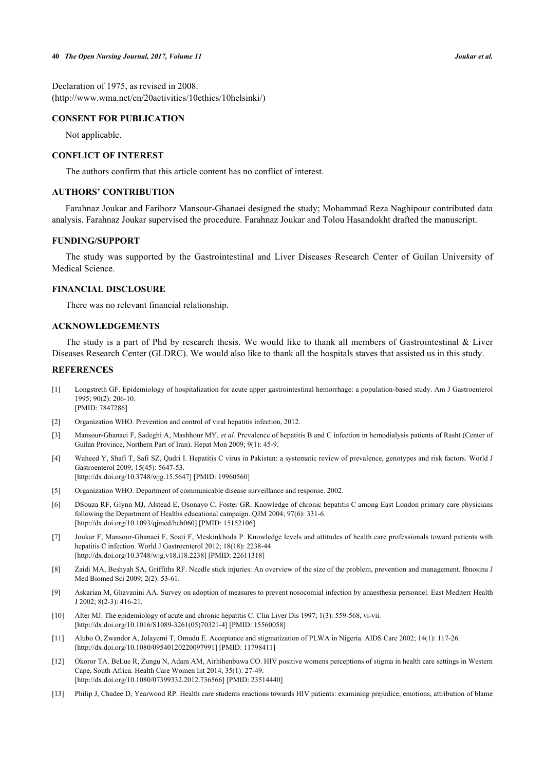Declaration of 1975, as revised in 2008. (http://www.wma.net/en/20activities/10ethics/10helsinki/)

# **CONSENT FOR PUBLICATION**

Not applicable.

# **CONFLICT OF INTEREST**

The authors confirm that this article content has no conflict of interest.

# **AUTHORS' CONTRIBUTION**

Farahnaz Joukar and Fariborz Mansour-Ghanaei designed the study; Mohammad Reza Naghipour contributed data analysis. Farahnaz Joukar supervised the procedure. Farahnaz Joukar and Tolou Hasandokht drafted the manuscript.

# **FUNDING/SUPPORT**

The study was supported by the Gastrointestinal and Liver Diseases Research Center of Guilan University of Medical Science.

## **FINANCIAL DISCLOSURE**

There was no relevant financial relationship.

# **ACKNOWLEDGEMENTS**

The study is a part of Phd by research thesis. We would like to thank all members of Gastrointestinal & Liver Diseases Research Center (GLDRC). We would also like to thank all the hospitals staves that assisted us in this study.

## **REFERENCES**

- <span id="page-6-0"></span>[1] Longstreth GF. Epidemiology of hospitalization for acute upper gastrointestinal hemorrhage: a population-based study. Am J Gastroenterol 1995; 90(2): 206-10. [PMID: [7847286\]](http://www.ncbi.nlm.nih.gov/pubmed/7847286)
- <span id="page-6-1"></span>[2] Organization WHO. Prevention and control of viral hepatitis infection, 2012.
- <span id="page-6-2"></span>[3] Mansour-Ghanaei F, Sadeghi A, Mashhour MY, *et al.* Prevalence of hepatitis B and C infection in hemodialysis patients of Rasht (Center of Guilan Province, Northern Part of Iran). Hepat Mon 2009; 9(1): 45-9.
- <span id="page-6-3"></span>[4] Waheed Y, Shafi T, Safi SZ, Qadri I. Hepatitis C virus in Pakistan: a systematic review of prevalence, genotypes and risk factors. World J Gastroenterol 2009; 15(45): 5647-53. [\[http://dx.doi.org/10.3748/wjg.15.5647\]](http://dx.doi.org/10.3748/wjg.15.5647) [PMID: [19960560](http://www.ncbi.nlm.nih.gov/pubmed/19960560)]
- <span id="page-6-4"></span>[5] Organization WHO. Department of communicable disease surveillance and response. 2002.
- <span id="page-6-5"></span>[6] DSouza RF, Glynn MJ, Alstead E, Osonayo C, Foster GR. Knowledge of chronic hepatitis C among East London primary care physicians following the Department of Healths educational campaign. QJM 2004; 97(6): 331-6. [\[http://dx.doi.org/10.1093/qjmed/hch060\]](http://dx.doi.org/10.1093/qjmed/hch060) [PMID: [15152106](http://www.ncbi.nlm.nih.gov/pubmed/15152106)]
- <span id="page-6-6"></span>[7] Joukar F, Mansour-Ghanaei F, Soati F, Meskinkhoda P. Knowledge levels and attitudes of health care professionals toward patients with hepatitis C infection. World J Gastroenterol 2012; 18(18): 2238-44. [\[http://dx.doi.org/10.3748/wjg.v18.i18.2238](http://dx.doi.org/10.3748/wjg.v18.i18.2238)] [PMID: [22611318\]](http://www.ncbi.nlm.nih.gov/pubmed/22611318)
- <span id="page-6-7"></span>[8] Zaidi MA, Beshyah SA, Griffiths RF. Needle stick injuries: An overview of the size of the problem, prevention and management. Ibnosina J Med Biomed Sci 2009; 2(2): 53-61.
- <span id="page-6-8"></span>[9] Askarian M, Ghavanini AA. Survey on adoption of measures to prevent nosocomial infection by anaesthesia personnel. East Mediterr Health J 2002; 8(2-3): 416-21.
- <span id="page-6-9"></span>[10] Alter MJ. The epidemiology of acute and chronic hepatitis C. Clin Liver Dis 1997; 1(3): 559-568, vi-vii. [\[http://dx.doi.org/10.1016/S1089-3261\(05\)70321-4\]](http://dx.doi.org/10.1016/S1089-3261(05)70321-4) [PMID: [15560058](http://www.ncbi.nlm.nih.gov/pubmed/15560058)]
- <span id="page-6-10"></span>[11] Alubo O, Zwandor A, Jolayemi T, Omudu E. Acceptance and stigmatization of PLWA in Nigeria. AIDS Care 2002; 14(1): 117-26. [\[http://dx.doi.org/10.1080/09540120220097991\]](http://dx.doi.org/10.1080/09540120220097991) [PMID: [11798411](http://www.ncbi.nlm.nih.gov/pubmed/11798411)]
- [12] Okoror TA. BeLue R, Zungu N, Adam AM, Airhihenbuwa CO. HIV positive womens perceptions of stigma in health care settings in Western Cape, South Africa. Health Care Women Int 2014; 35(1): 27-49. [\[http://dx.doi.org/10.1080/07399332.2012.736566\]](http://dx.doi.org/10.1080/07399332.2012.736566) [PMID: [23514440](http://www.ncbi.nlm.nih.gov/pubmed/23514440)]
- [13] Philip J, Chadee D, Yearwood RP. Health care students reactions towards HIV patients: examining prejudice, emotions, attribution of blame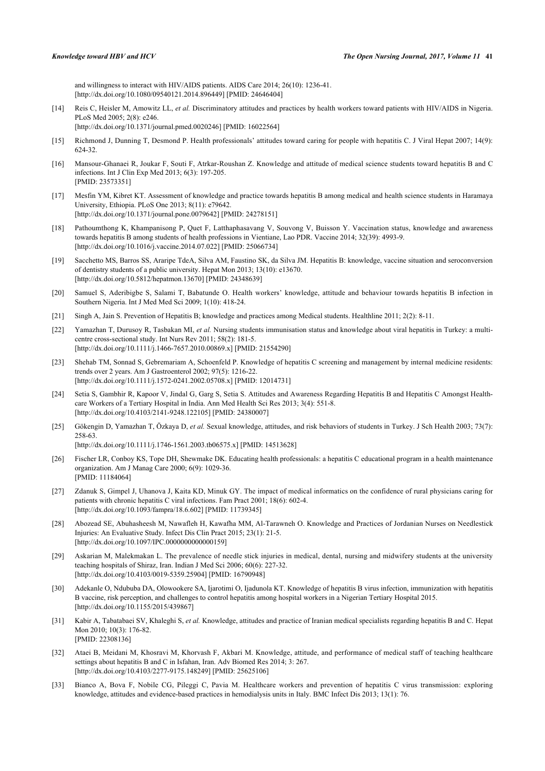and willingness to interact with HIV/AIDS patients. AIDS Care 2014; 26(10): 1236-41. [\[http://dx.doi.org/10.1080/09540121.2014.896449\]](http://dx.doi.org/10.1080/09540121.2014.896449) [PMID: [24646404](http://www.ncbi.nlm.nih.gov/pubmed/24646404)]

<span id="page-7-0"></span>[14] Reis C, Heisler M, Amowitz LL, *et al.* Discriminatory attitudes and practices by health workers toward patients with HIV/AIDS in Nigeria. PLoS Med 2005; 2(8): e246.

[\[http://dx.doi.org/10.1371/journal.pmed.0020246](http://dx.doi.org/10.1371/journal.pmed.0020246)] [PMID: [16022564\]](http://www.ncbi.nlm.nih.gov/pubmed/16022564)

- <span id="page-7-1"></span>[15] Richmond J, Dunning T, Desmond P. Health professionals' attitudes toward caring for people with hepatitis C. J Viral Hepat 2007; 14(9): 624-32.
- <span id="page-7-2"></span>[16] Mansour-Ghanaei R, Joukar F, Souti F, Atrkar-Roushan Z. Knowledge and attitude of medical science students toward hepatitis B and C infections. Int J Clin Exp Med 2013; 6(3): 197-205. [PMID: [23573351\]](http://www.ncbi.nlm.nih.gov/pubmed/23573351)
- <span id="page-7-4"></span>[17] Mesfin YM, Kibret KT. Assessment of knowledge and practice towards hepatitis B among medical and health science students in Haramaya University, Ethiopia. PLoS One 2013; 8(11): e79642. [\[http://dx.doi.org/10.1371/journal.pone.0079642](http://dx.doi.org/10.1371/journal.pone.0079642)] [PMID: [24278151\]](http://www.ncbi.nlm.nih.gov/pubmed/24278151)
- [18] Pathoumthong K, Khampanisong P, Quet F, Latthaphasavang V, Souvong V, Buisson Y. Vaccination status, knowledge and awareness towards hepatitis B among students of health professions in Vientiane, Lao PDR. Vaccine 2014; 32(39): 4993-9. [\[http://dx.doi.org/10.1016/j.vaccine.2014.07.022](http://dx.doi.org/10.1016/j.vaccine.2014.07.022)] [PMID: [25066734](http://www.ncbi.nlm.nih.gov/pubmed/25066734)]
- <span id="page-7-15"></span>[19] Sacchetto MS, Barros SS, Araripe TdeA, Silva AM, Faustino SK, da Silva JM. Hepatitis B: knowledge, vaccine situation and seroconversion of dentistry students of a public university. Hepat Mon 2013; 13(10): e13670. [\[http://dx.doi.org/10.5812/hepatmon.13670](http://dx.doi.org/10.5812/hepatmon.13670)] [PMID: [24348639\]](http://www.ncbi.nlm.nih.gov/pubmed/24348639)
- <span id="page-7-3"></span>[20] Samuel S, Aderibigbe S, Salami T, Babatunde O. Health workers' knowledge, attitude and behaviour towards hepatitis B infection in Southern Nigeria. Int J Med Med Sci 2009; 1(10): 418-24.
- <span id="page-7-5"></span>[21] Singh A, Jain S. Prevention of Hepatitis B; knowledge and practices among Medical students. Healthline 2011; 2(2): 8-11.
- <span id="page-7-6"></span>[22] Yamazhan T, Durusoy R, Tasbakan MI, *et al.* Nursing students immunisation status and knowledge about viral hepatitis in Turkey: a multicentre cross-sectional study. Int Nurs Rev 2011; 58(2): 181-5. [\[http://dx.doi.org/10.1111/j.1466-7657.2010.00869.x\]](http://dx.doi.org/10.1111/j.1466-7657.2010.00869.x) [PMID: [21554290](http://www.ncbi.nlm.nih.gov/pubmed/21554290)]
- <span id="page-7-7"></span>[23] Shehab TM, Sonnad S, Gebremariam A, Schoenfeld P. Knowledge of hepatitis C screening and management by internal medicine residents: trends over 2 years. Am J Gastroenterol 2002; 97(5): 1216-22. [\[http://dx.doi.org/10.1111/j.1572-0241.2002.05708.x\]](http://dx.doi.org/10.1111/j.1572-0241.2002.05708.x) [PMID: [12014731](http://www.ncbi.nlm.nih.gov/pubmed/12014731)]
- <span id="page-7-8"></span>[24] Setia S, Gambhir R, Kapoor V, Jindal G, Garg S, Setia S. Attitudes and Awareness Regarding Hepatitis B and Hepatitis C Amongst Healthcare Workers of a Tertiary Hospital in India. Ann Med Health Sci Res 2013; 3(4): 551-8. [\[http://dx.doi.org/10.4103/2141-9248.122105](http://dx.doi.org/10.4103/2141-9248.122105)] [PMID: [24380007](http://www.ncbi.nlm.nih.gov/pubmed/24380007)]
- <span id="page-7-9"></span>[25] Gökengin D, Yamazhan T, Özkaya D, *et al.* Sexual knowledge, attitudes, and risk behaviors of students in Turkey. J Sch Health 2003; 73(7): 258-63. [\[http://dx.doi.org/10.1111/j.1746-1561.2003.tb06575.x\]](http://dx.doi.org/10.1111/j.1746-1561.2003.tb06575.x) [PMID: [14513628](http://www.ncbi.nlm.nih.gov/pubmed/14513628)]
- <span id="page-7-10"></span>[26] Fischer LR, Conboy KS, Tope DH, Shewmake DK. Educating health professionals: a hepatitis C educational program in a health maintenance organization. Am J Manag Care 2000; 6(9): 1029-36. [PMID: [11184064\]](http://www.ncbi.nlm.nih.gov/pubmed/11184064)
- <span id="page-7-11"></span>[27] Zdanuk S, Gimpel J, Uhanova J, Kaita KD, Minuk GY. The impact of medical informatics on the confidence of rural physicians caring for patients with chronic hepatitis C viral infections. Fam Pract 2001; 18(6): 602-4. [\[http://dx.doi.org/10.1093/fampra/18.6.602\]](http://dx.doi.org/10.1093/fampra/18.6.602) [PMID: [11739345](http://www.ncbi.nlm.nih.gov/pubmed/11739345)]
- <span id="page-7-12"></span>[28] Abozead SE, Abuhasheesh M, Nawafleh H, Kawafha MM, Al-Tarawneh O. Knowledge and Practices of Jordanian Nurses on Needlestick Injuries: An Evaluative Study. Infect Dis Clin Pract 2015; 23(1): 21-5. [\[http://dx.doi.org/10.1097/IPC.0000000000000159](http://dx.doi.org/10.1097/IPC.0000000000000159)]
- <span id="page-7-13"></span>[29] Askarian M, Malekmakan L. The prevalence of needle stick injuries in medical, dental, nursing and midwifery students at the university teaching hospitals of Shiraz, Iran. Indian J Med Sci 2006; 60(6): 227-32. [\[http://dx.doi.org/10.4103/0019-5359.25904](http://dx.doi.org/10.4103/0019-5359.25904)] [PMID: [16790948](http://www.ncbi.nlm.nih.gov/pubmed/16790948)]
- <span id="page-7-14"></span>[30] Adekanle O, Ndububa DA, Olowookere SA, Ijarotimi O, Ijadunola KT. Knowledge of hepatitis B virus infection, immunization with hepatitis B vaccine, risk perception, and challenges to control hepatitis among hospital workers in a Nigerian Tertiary Hospital 2015. [\[http://dx.doi.org/10.1155/2015/439867](http://dx.doi.org/10.1155/2015/439867)]
- [31] Kabir A, Tabatabaei SV, Khaleghi S, et al. Knowledge, attitudes and practice of Iranian medical specialists regarding hepatitis B and C. Hepat Mon 2010; 10(3): 176-82. [PMID: [22308136\]](http://www.ncbi.nlm.nih.gov/pubmed/22308136)
- [32] Ataei B, Meidani M, Khosravi M, Khorvash F, Akbari M. Knowledge, attitude, and performance of medical staff of teaching healthcare settings about hepatitis B and C in Isfahan, Iran. Adv Biomed Res 2014; 3: 267. [\[http://dx.doi.org/10.4103/2277-9175.148249](http://dx.doi.org/10.4103/2277-9175.148249)] [PMID: [25625106](http://www.ncbi.nlm.nih.gov/pubmed/25625106)]
- [33] Bianco A, Bova F, Nobile CG, Pileggi C, Pavia M. Healthcare workers and prevention of hepatitis C virus transmission: exploring knowledge, attitudes and evidence-based practices in hemodialysis units in Italy. BMC Infect Dis 2013; 13(1): 76.